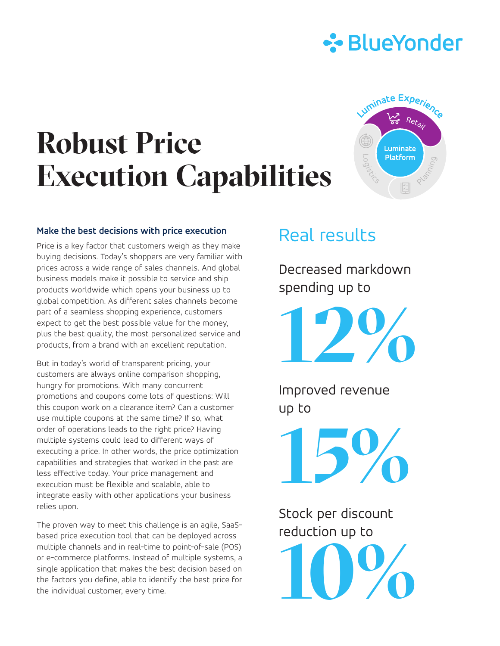

# **Robust Price Execution Capabilities**



#### **Make the best decisions with price execution**

Price is a key factor that customers weigh as they make buying decisions. Today's shoppers are very familiar with prices across a wide range of sales channels. And global business models make it possible to service and ship products worldwide which opens your business up to global competition. As different sales channels become part of a seamless shopping experience, customers expect to get the best possible value for the money, plus the best quality, the most personalized service and products, from a brand with an excellent reputation.

But in today's world of transparent pricing, your customers are always online comparison shopping, hungry for promotions. With many concurrent promotions and coupons come lots of questions: Will this coupon work on a clearance item? Can a customer use multiple coupons at the same time? If so, what order of operations leads to the right price? Having multiple systems could lead to different ways of executing a price. In other words, the price optimization capabilities and strategies that worked in the past are less effective today. Your price management and execution must be flexible and scalable, able to integrate easily with other applications your business relies upon.

The proven way to meet this challenge is an agile, SaaSbased price execution tool that can be deployed across multiple channels and in real-time to point-of-sale (POS) or e-commerce platforms. Instead of multiple systems, a single application that makes the best decision based on the factors you define, able to identify the best price for the individual customer, every time.

## Real results

Decreased markdown spending up to

**12%**

Improved revenue up to

**15%**

Stock per discount reduction up to **10%**